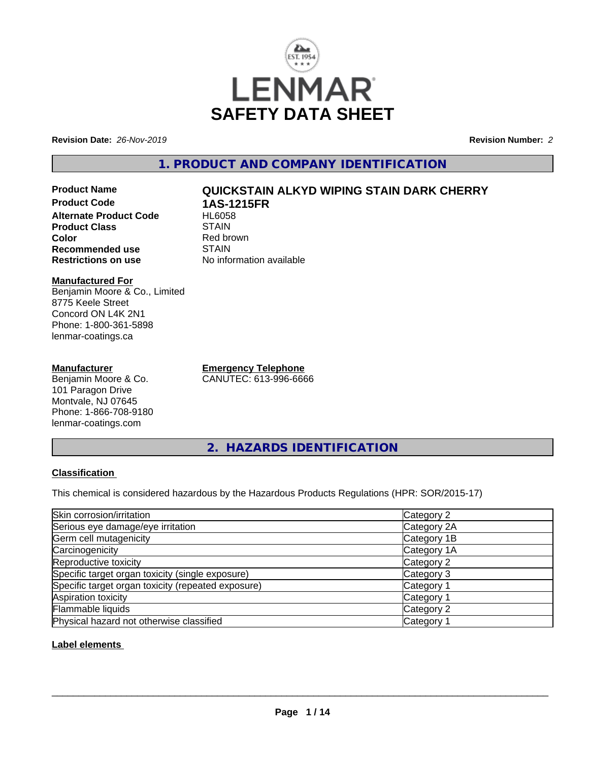

**Revision Date:** *26-Nov-2019* **Revision Number:** *2*

**1. PRODUCT AND COMPANY IDENTIFICATION**

# **Product Name QUICKSTAIN ALKYD WIPING STAIN DARK CHERRY Product Code 1AS-1215FR Alternate Product Code Product Class STAIN Color**<br> **Recommended use**<br> **COLORER STAIN Recommended use**<br>Restrictions on use

#### **Manufactured For** Benjamin Moore & Co., Limited 8775 Keele Street Concord ON L4K 2N1 Phone: 1-800-361-5898 lenmar-coatings.ca

# **Manufacturer**

Benjamin Moore & Co. 101 Paragon Drive Montvale, NJ 07645 Phone: 1-866-708-9180 lenmar-coatings.com

**Emergency Telephone** CANUTEC: 613-996-6666

**No information available** 

**2. HAZARDS IDENTIFICATION**

# **Classification**

This chemical is considered hazardous by the Hazardous Products Regulations (HPR: SOR/2015-17)

| Skin corrosion/irritation                          | Category 2            |
|----------------------------------------------------|-----------------------|
| Serious eye damage/eye irritation                  | Category 2A           |
| Germ cell mutagenicity                             | Category 1B           |
| Carcinogenicity                                    | Category 1A           |
| Reproductive toxicity                              | Category 2            |
| Specific target organ toxicity (single exposure)   | Category 3            |
| Specific target organ toxicity (repeated exposure) | Category 1            |
| Aspiration toxicity                                | Category <sup>2</sup> |
| Flammable liquids                                  | Category 2            |
| Physical hazard not otherwise classified           | Category              |

# **Label elements**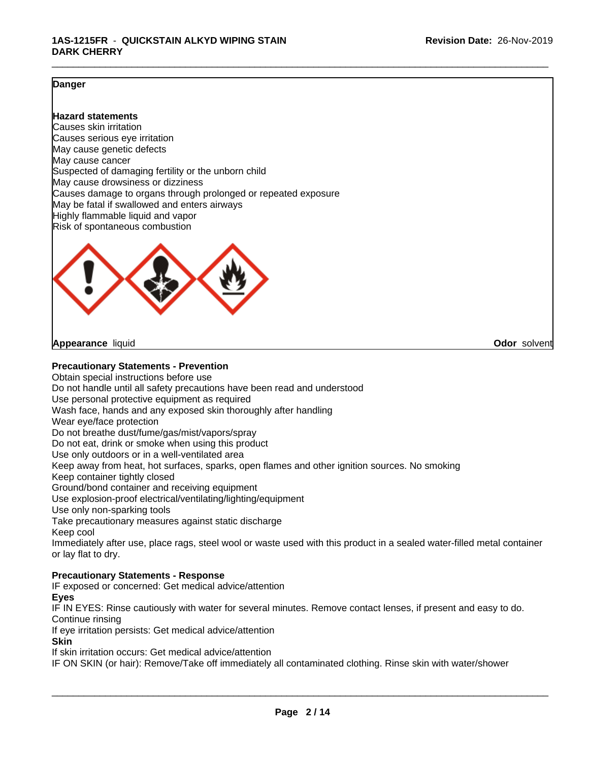#### **Danger**

### **Hazard statements**

Causes skin irritation Causes serious eye irritation May cause genetic defects May cause cancer Suspected of damaging fertility or the unborn child May cause drowsiness or dizziness Causes damage to organs through prolonged or repeated exposure May be fatal if swallowed and enters airways Highly flammable liquid and vapor Risk of spontaneous combustion



**Appearance** liquid **Odor** solvent

**Precautionary Statements - Prevention**

Obtain special instructions before use Do not handle until all safety precautions have been read and understood Use personal protective equipment as required Wash face, hands and any exposed skin thoroughly after handling Wear eye/face protection Do not breathe dust/fume/gas/mist/vapors/spray Do not eat, drink or smoke when using this product Use only outdoors or in a well-ventilated area Keep away from heat, hot surfaces, sparks, open flames and other ignition sources. No smoking Keep container tightly closed Ground/bond container and receiving equipment Use explosion-proof electrical/ventilating/lighting/equipment Use only non-sparking tools Take precautionary measures against static discharge Keep cool Immediately after use, place rags, steel wool or waste used with this product in a sealed water-filled metal container or lay flat to dry. **Precautionary Statements - Response**

IF exposed or concerned: Get medical advice/attention

**Eyes**

IF IN EYES: Rinse cautiously with water for several minutes. Remove contact lenses, if present and easy to do. Continue rinsing

If eye irritation persists: Get medical advice/attention

**Skin**

If skin irritation occurs: Get medical advice/attention

IF ON SKIN (or hair): Remove/Take off immediately all contaminated clothing. Rinse skin with water/shower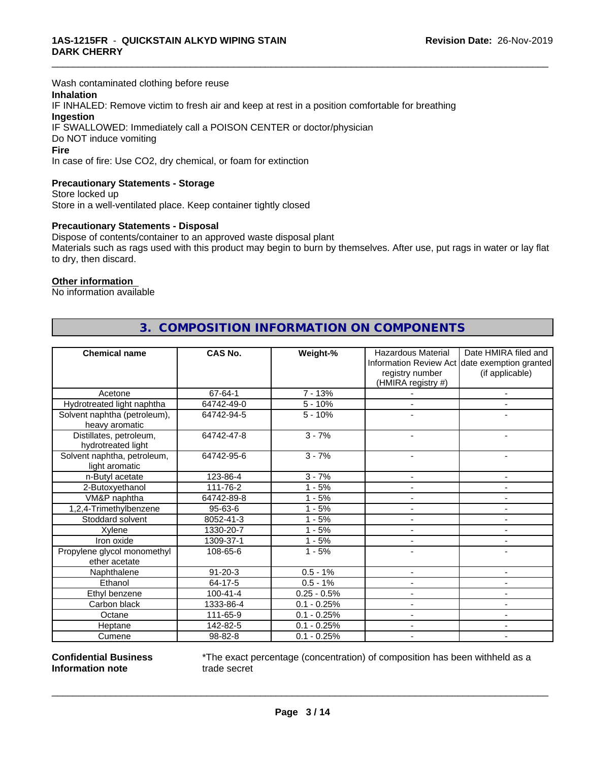Wash contaminated clothing before reuse

### **Inhalation**

IF INHALED: Remove victim to fresh air and keep at rest in a position comfortable for breathing **Ingestion** IF SWALLOWED: Immediately call a POISON CENTER or doctor/physician

Do NOT induce vomiting

#### **Fire**

In case of fire: Use CO2, dry chemical, or foam for extinction

#### **Precautionary Statements - Storage**

Store locked up Store in a well-ventilated place. Keep container tightly closed

#### **Precautionary Statements - Disposal**

Dispose of contents/container to an approved waste disposal plant Materials such as rags used with this product may begin to burn by themselves. After use, put rags in water or lay flat to dry, then discard.

\_\_\_\_\_\_\_\_\_\_\_\_\_\_\_\_\_\_\_\_\_\_\_\_\_\_\_\_\_\_\_\_\_\_\_\_\_\_\_\_\_\_\_\_\_\_\_\_\_\_\_\_\_\_\_\_\_\_\_\_\_\_\_\_\_\_\_\_\_\_\_\_\_\_\_\_\_\_\_\_\_\_\_\_\_\_\_\_\_\_\_\_\_

#### **Other information**

No information available

|                                                | <b>CAS No.</b> |               |                          | Date HMIRA filed and                          |
|------------------------------------------------|----------------|---------------|--------------------------|-----------------------------------------------|
| <b>Chemical name</b>                           |                | Weight-%      | Hazardous Material       | Information Review Act date exemption granted |
|                                                |                |               | registry number          | (if applicable)                               |
|                                                |                |               | (HMIRA registry #)       |                                               |
| Acetone                                        | 67-64-1        | $7 - 13%$     |                          |                                               |
|                                                | 64742-49-0     | $5 - 10%$     |                          |                                               |
| Hydrotreated light naphtha                     |                | $5 - 10%$     |                          |                                               |
| Solvent naphtha (petroleum),<br>heavy aromatic | 64742-94-5     |               |                          | $\blacksquare$                                |
| Distillates, petroleum,<br>hydrotreated light  | 64742-47-8     | $3 - 7%$      |                          |                                               |
| Solvent naphtha, petroleum,<br>light aromatic  | 64742-95-6     | $3 - 7%$      | $\blacksquare$           | ÷                                             |
| n-Butyl acetate                                | 123-86-4       | $3 - 7%$      |                          |                                               |
| 2-Butoxyethanol                                | 111-76-2       | $1 - 5%$      |                          | $\blacksquare$                                |
| VM&P naphtha                                   | 64742-89-8     | $1 - 5%$      |                          |                                               |
| 1,2,4-Trimethylbenzene                         | $95 - 63 - 6$  | $1 - 5%$      |                          |                                               |
| Stoddard solvent                               | 8052-41-3      | $1 - 5%$      |                          |                                               |
| Xylene                                         | 1330-20-7      | $1 - 5%$      |                          | ٠                                             |
| Iron oxide                                     | 1309-37-1      | $1 - 5%$      | $\blacksquare$           | $\blacksquare$                                |
| Propylene glycol monomethyl<br>ether acetate   | 108-65-6       | $1 - 5%$      |                          |                                               |
| Naphthalene                                    | $91 - 20 - 3$  | $0.5 - 1%$    |                          |                                               |
| Ethanol                                        | 64-17-5        | $0.5 - 1%$    |                          |                                               |
| Ethyl benzene                                  | $100 - 41 - 4$ | $0.25 - 0.5%$ | $\overline{\phantom{a}}$ | $\blacksquare$                                |
| Carbon black                                   | 1333-86-4      | $0.1 - 0.25%$ |                          |                                               |
| Octane                                         | 111-65-9       | $0.1 - 0.25%$ |                          |                                               |
| Heptane                                        | 142-82-5       | $0.1 - 0.25%$ |                          |                                               |
| Cumene                                         | 98-82-8        | $0.1 - 0.25%$ |                          | $\blacksquare$                                |

# **3. COMPOSITION INFORMATION ON COMPONENTS**

**Confidential Business Information note**

\*The exact percentage (concentration) of composition has been withheld as a trade secret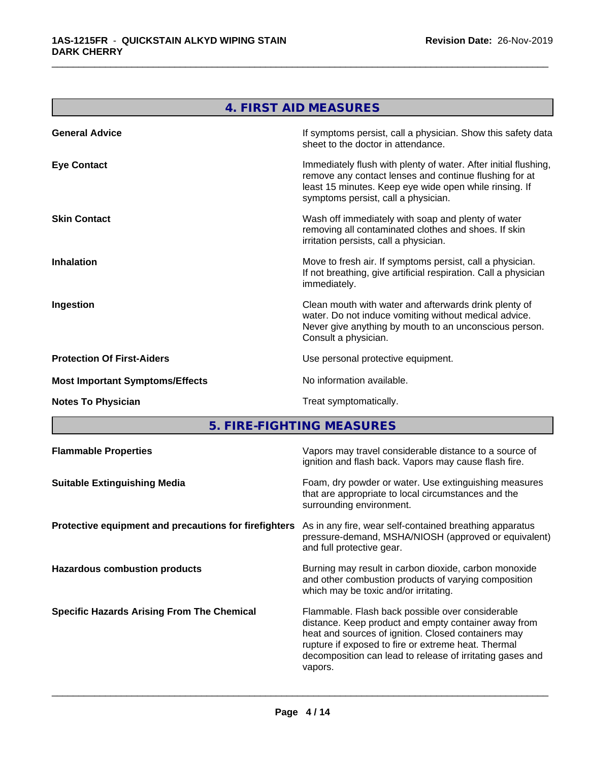|                                        | 4. FIRST AID MEASURES                                                                                                                                                                                                      |
|----------------------------------------|----------------------------------------------------------------------------------------------------------------------------------------------------------------------------------------------------------------------------|
| <b>General Advice</b>                  | If symptoms persist, call a physician. Show this safety data<br>sheet to the doctor in attendance.                                                                                                                         |
| <b>Eye Contact</b>                     | Immediately flush with plenty of water. After initial flushing,<br>remove any contact lenses and continue flushing for at<br>least 15 minutes. Keep eye wide open while rinsing. If<br>symptoms persist, call a physician. |
| <b>Skin Contact</b>                    | Wash off immediately with soap and plenty of water<br>removing all contaminated clothes and shoes. If skin<br>irritation persists, call a physician.                                                                       |
| <b>Inhalation</b>                      | Move to fresh air. If symptoms persist, call a physician.<br>If not breathing, give artificial respiration. Call a physician<br>immediately.                                                                               |
| Ingestion                              | Clean mouth with water and afterwards drink plenty of<br>water. Do not induce vomiting without medical advice.<br>Never give anything by mouth to an unconscious person.<br>Consult a physician.                           |
| <b>Protection Of First-Aiders</b>      | Use personal protective equipment.                                                                                                                                                                                         |
| <b>Most Important Symptoms/Effects</b> | No information available.                                                                                                                                                                                                  |
| <b>Notes To Physician</b>              | Treat symptomatically.                                                                                                                                                                                                     |
|                                        | 5 FIRE-FIGHTING MEASHRES                                                                                                                                                                                                   |

**5. FIRE-FIGHTING MEASURES** 

| Vapors may travel considerable distance to a source of<br>ignition and flash back. Vapors may cause flash fire.                                                                                                                                                                                |
|------------------------------------------------------------------------------------------------------------------------------------------------------------------------------------------------------------------------------------------------------------------------------------------------|
| Foam, dry powder or water. Use extinguishing measures<br>that are appropriate to local circumstances and the<br>surrounding environment.                                                                                                                                                       |
| As in any fire, wear self-contained breathing apparatus<br>pressure-demand, MSHA/NIOSH (approved or equivalent)<br>and full protective gear.                                                                                                                                                   |
| Burning may result in carbon dioxide, carbon monoxide<br>and other combustion products of varying composition<br>which may be toxic and/or irritating.                                                                                                                                         |
| Flammable. Flash back possible over considerable<br>distance. Keep product and empty container away from<br>heat and sources of ignition. Closed containers may<br>rupture if exposed to fire or extreme heat. Thermal<br>decomposition can lead to release of irritating gases and<br>vapors. |
|                                                                                                                                                                                                                                                                                                |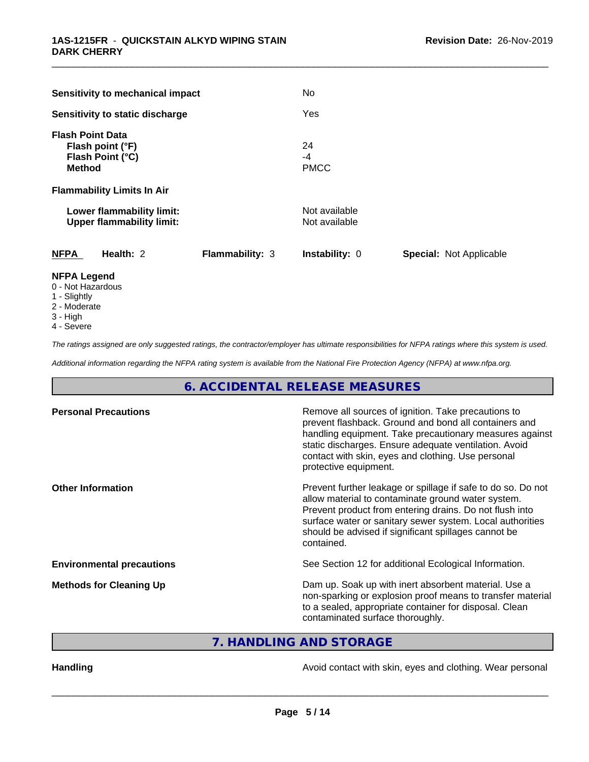| Sensitivity to mechanical impact                                                 |                        | No                             |                                |
|----------------------------------------------------------------------------------|------------------------|--------------------------------|--------------------------------|
| Sensitivity to static discharge                                                  |                        | Yes                            |                                |
| <b>Flash Point Data</b><br>Flash point (°F)<br>Flash Point (°C)<br><b>Method</b> |                        | 24<br>$-4$<br><b>PMCC</b>      |                                |
| <b>Flammability Limits In Air</b>                                                |                        |                                |                                |
| Lower flammability limit:<br><b>Upper flammability limit:</b>                    |                        | Not available<br>Not available |                                |
| <b>NFPA</b><br>Health: 2                                                         | <b>Flammability: 3</b> | Instability: 0                 | <b>Special: Not Applicable</b> |
| <b>NFPA Legend</b><br>0 - Not Hazardous                                          |                        |                                |                                |

- 
- 1 Slightly
- 2 Moderate
- 3 High
- 4 Severe

*The ratings assigned are only suggested ratings, the contractor/employer has ultimate responsibilities for NFPA ratings where this system is used.*

*Additional information regarding the NFPA rating system is available from the National Fire Protection Agency (NFPA) at www.nfpa.org.*

# **6. ACCIDENTAL RELEASE MEASURES**

| <b>Personal Precautions</b>      | Remove all sources of ignition. Take precautions to<br>prevent flashback. Ground and bond all containers and<br>handling equipment. Take precautionary measures against<br>static discharges. Ensure adequate ventilation. Avoid<br>contact with skin, eyes and clothing. Use personal<br>protective equipment.  |
|----------------------------------|------------------------------------------------------------------------------------------------------------------------------------------------------------------------------------------------------------------------------------------------------------------------------------------------------------------|
| <b>Other Information</b>         | Prevent further leakage or spillage if safe to do so. Do not<br>allow material to contaminate ground water system.<br>Prevent product from entering drains. Do not flush into<br>surface water or sanitary sewer system. Local authorities<br>should be advised if significant spillages cannot be<br>contained. |
| <b>Environmental precautions</b> | See Section 12 for additional Ecological Information.                                                                                                                                                                                                                                                            |
| <b>Methods for Cleaning Up</b>   | Dam up. Soak up with inert absorbent material. Use a<br>non-sparking or explosion proof means to transfer material<br>to a sealed, appropriate container for disposal. Clean<br>contaminated surface thoroughly.                                                                                                 |

**7. HANDLING AND STORAGE**

Handling **Handling Handling Avoid contact with skin, eyes and clothing. Wear personal**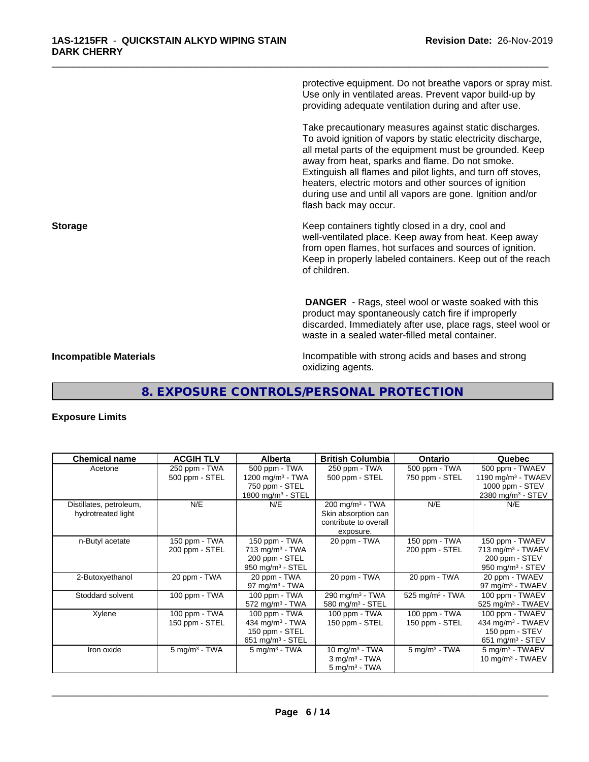protective equipment. Do not breathe vapors or spray mist. Use only in ventilated areas. Prevent vapor build-up by providing adequate ventilation during and after use. Take precautionary measures against static discharges. To avoid ignition of vapors by static electricity discharge, all metal parts of the equipment must be grounded. Keep away from heat, sparks and flame. Do not smoke. Extinguish all flames and pilot lights, and turn off stoves, heaters, electric motors and other sources of ignition during use and until all vapors are gone. Ignition and/or flash back may occur. **Storage Keep containers tightly closed in a dry, cool and get a dry and structure in a dry and structure in a dry and structure in a dry and structure in a dry and structure in a dry and structure in a dry and structure** well-ventilated place. Keep away from heat. Keep away from open flames, hot surfaces and sources of ignition. Keep in properly labeled containers. Keep out of the reach of children.  **DANGER** - Rags, steel wool or waste soaked with this product may spontaneously catch fire if improperly discarded. Immediately after use, place rags, steel wool or waste in a sealed water-filled metal container. **Incompatible Materials Incompatible with strong acids and bases and strong** oxidizing agents.

\_\_\_\_\_\_\_\_\_\_\_\_\_\_\_\_\_\_\_\_\_\_\_\_\_\_\_\_\_\_\_\_\_\_\_\_\_\_\_\_\_\_\_\_\_\_\_\_\_\_\_\_\_\_\_\_\_\_\_\_\_\_\_\_\_\_\_\_\_\_\_\_\_\_\_\_\_\_\_\_\_\_\_\_\_\_\_\_\_\_\_\_\_

# **8. EXPOSURE CONTROLS/PERSONAL PROTECTION**

# **Exposure Limits**

| <b>Chemical name</b>                          | <b>ACGIH TLV</b>                | <b>Alberta</b>                                                                          | <b>British Columbia</b>                                                                 | <b>Ontario</b>                  | Quebec                                                                                               |
|-----------------------------------------------|---------------------------------|-----------------------------------------------------------------------------------------|-----------------------------------------------------------------------------------------|---------------------------------|------------------------------------------------------------------------------------------------------|
| Acetone                                       | 250 ppm - TWA<br>500 ppm - STEL | 500 ppm - TWA<br>1200 mg/m <sup>3</sup> - TWA                                           | 250 ppm - TWA<br>500 ppm - STEL                                                         | 500 ppm - TWA<br>750 ppm - STEL | 500 ppm - TWAEV<br>1190 mg/m <sup>3</sup> - TWAEV                                                    |
|                                               |                                 | 750 ppm - STEL<br>1800 mg/m $3 -$ STEL                                                  |                                                                                         |                                 | 1000 ppm - STEV<br>2380 mg/m <sup>3</sup> - STEV                                                     |
| Distillates, petroleum,<br>hydrotreated light | N/E                             | N/E                                                                                     | $200 \text{ mg/m}^3$ - TWA<br>Skin absorption can<br>contribute to overall<br>exposure. | N/E                             | N/E                                                                                                  |
| n-Butyl acetate                               | 150 ppm - TWA<br>200 ppm - STEL | 150 ppm - TWA<br>$713$ mg/m <sup>3</sup> - TWA<br>200 ppm - STEL<br>950 mg/m $3 -$ STEL | 20 ppm - TWA                                                                            | 150 ppm - TWA<br>200 ppm - STEL | 150 ppm - TWAEV<br>713 mg/m <sup>3</sup> - TWAEV<br>200 ppm - STEV<br>950 mg/m <sup>3</sup> - STEV   |
| 2-Butoxyethanol                               | 20 ppm - TWA                    | 20 ppm - TWA<br>97 mg/m $3$ - TWA                                                       | 20 ppm - TWA                                                                            | 20 ppm - TWA                    | 20 ppm - TWAEV<br>97 mg/m $3$ - TWAEV                                                                |
| Stoddard solvent                              | 100 ppm - TWA                   | 100 ppm - TWA<br>$572$ mg/m <sup>3</sup> - TWA                                          | 290 mg/m $3$ - TWA<br>580 mg/m $3 -$ STEL                                               | 525 mg/m <sup>3</sup> - TWA     | 100 ppm - TWAEV<br>525 mg/m <sup>3</sup> - TWAEV                                                     |
| Xylene                                        | 100 ppm - TWA<br>150 ppm - STEL | 100 ppm - TWA<br>434 mg/m $3 - TWA$<br>150 ppm - STEL<br>651 mg/m $3 -$ STEL            | 100 ppm - TWA<br>150 ppm - STEL                                                         | 100 ppm - TWA<br>150 ppm - STEL | 100 ppm - TWAEV<br>434 mg/m <sup>3</sup> - TWAEV<br>150 ppm - STEV<br>$651$ mg/m <sup>3</sup> - STEV |
| Iron oxide                                    | $5$ mg/m <sup>3</sup> - TWA     | $5 \text{ mg/m}^3$ - TWA                                                                | $10 \text{ mg/m}^3$ - TWA<br>$3$ mg/m <sup>3</sup> - TWA<br>$5 \text{ mg/m}^3$ - TWA    | $5 \text{ mg/m}^3$ - TWA        | 5 mg/m <sup>3</sup> - TWAEV<br>10 mg/m $3$ - TWAEV                                                   |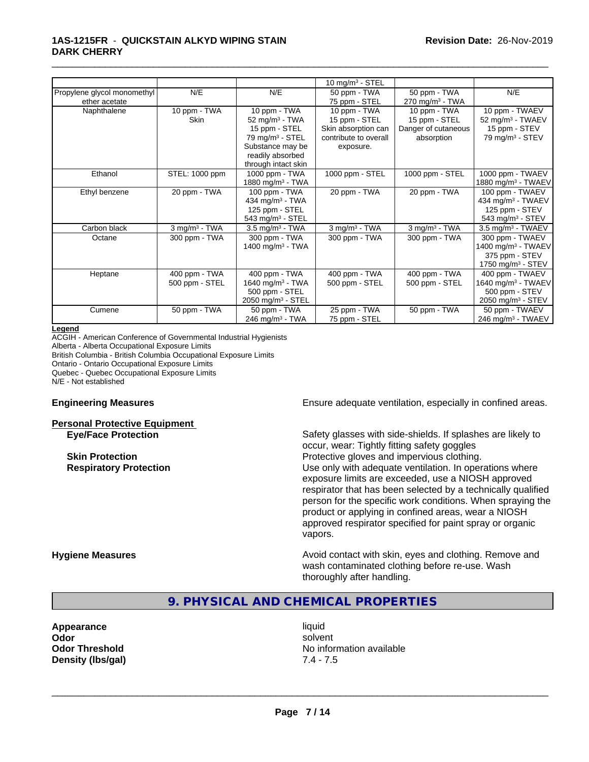#### **1AS-1215FR** - **QUICKSTAIN ALKYD WIPING STAIN DARK CHERRY**

|                             |                    |                               | 10 mg/m $3 -$ STEL    |                               |                                 |
|-----------------------------|--------------------|-------------------------------|-----------------------|-------------------------------|---------------------------------|
| Propylene glycol monomethyl | N/E                | N/E                           | 50 ppm - TWA          | 50 ppm - TWA                  | N/E                             |
| ether acetate               |                    |                               | 75 ppm - STEL         | $270$ mg/m <sup>3</sup> - TWA |                                 |
| Naphthalene                 | 10 ppm - TWA       | 10 ppm - TWA                  | 10 ppm - TWA          | 10 ppm - TWA                  | 10 ppm - TWAEV                  |
|                             | Skin               | $52$ mg/m <sup>3</sup> - TWA  | 15 ppm - STEL         | 15 ppm - STEL                 | 52 mg/m <sup>3</sup> - TWAEV    |
|                             |                    | 15 ppm - STEL                 | Skin absorption can   | Danger of cutaneous           | 15 ppm - STEV                   |
|                             |                    | 79 mg/m <sup>3</sup> - STEL   | contribute to overall | absorption                    | 79 mg/m <sup>3</sup> - STEV     |
|                             |                    | Substance may be              | exposure.             |                               |                                 |
|                             |                    | readily absorbed              |                       |                               |                                 |
|                             |                    | through intact skin           |                       |                               |                                 |
| Ethanol                     | STEL: 1000 ppm     | 1000 ppm - TWA                | 1000 ppm - STEL       | 1000 ppm - STEL               | 1000 ppm - TWAEV                |
|                             |                    | 1880 mg/m $3$ - TWA           |                       |                               | 1880 mg/m <sup>3</sup> - TWAEV  |
| Ethyl benzene               | 20 ppm - TWA       | 100 ppm - TWA                 | 20 ppm - TWA          | 20 ppm - TWA                  | 100 ppm - TWAEV                 |
|                             |                    | 434 mg/m $3$ - TWA            |                       |                               | 434 mg/m <sup>3</sup> - TWAEV   |
|                             |                    | 125 ppm - STEL                |                       |                               | 125 ppm - STEV                  |
|                             |                    | 543 mg/m <sup>3</sup> - STEL  |                       |                               | 543 mg/m $3 -$ STEV             |
| Carbon black                | $3$ mg/m $3$ - TWA | $3.5 \text{ mg/m}^3$ - TWA    | $3$ mg/m $3$ - TWA    | $3$ mg/m $3$ - TWA            | $3.5$ mg/m <sup>3</sup> - TWAEV |
| Octane                      | 300 ppm - TWA      | 300 ppm - TWA                 | 300 ppm - TWA         | 300 ppm - TWA                 | 300 ppm - TWAEV                 |
|                             |                    | 1400 mg/m <sup>3</sup> - TWA  |                       |                               | 1400 mg/m <sup>3</sup> - TWAEV  |
|                             |                    |                               |                       |                               | 375 ppm - STEV                  |
|                             |                    |                               |                       |                               | 1750 mg/m <sup>3</sup> - STEV   |
| Heptane                     | 400 ppm - TWA      | 400 ppm - TWA                 | 400 ppm - TWA         | 400 ppm - TWA                 | 400 ppm - TWAEV                 |
|                             | 500 ppm - STEL     | 1640 mg/m $3 - TWA$           | 500 ppm - STEL        | 500 ppm - STEL                | 1640 mg/m <sup>3</sup> - TWAEV  |
|                             |                    | 500 ppm - STEL                |                       |                               | 500 ppm - STEV                  |
|                             |                    | 2050 mg/m $3 -$ STEL          |                       |                               | 2050 mg/m <sup>3</sup> - STEV   |
| Cumene                      | 50 ppm - TWA       | 50 ppm - TWA                  | 25 ppm - TWA          | 50 ppm - TWA                  | 50 ppm - TWAEV                  |
|                             |                    | $246$ mg/m <sup>3</sup> - TWA | 75 ppm - STEL         |                               | 246 mg/m <sup>3</sup> - TWAEV   |

\_\_\_\_\_\_\_\_\_\_\_\_\_\_\_\_\_\_\_\_\_\_\_\_\_\_\_\_\_\_\_\_\_\_\_\_\_\_\_\_\_\_\_\_\_\_\_\_\_\_\_\_\_\_\_\_\_\_\_\_\_\_\_\_\_\_\_\_\_\_\_\_\_\_\_\_\_\_\_\_\_\_\_\_\_\_\_\_\_\_\_\_\_

#### **Legend**

ACGIH - American Conference of Governmental Industrial Hygienists Alberta - Alberta Occupational Exposure Limits British Columbia - British Columbia Occupational Exposure Limits Ontario - Ontario Occupational Exposure Limits Quebec - Quebec Occupational Exposure Limits N/E - Not established

# **Personal Protective Equipment**

**Engineering Measures Ensure** Ensure adequate ventilation, especially in confined areas.

**Eye/Face Protection** Safety glasses with side-shields. If splashes are likely to occur, wear: Tightly fitting safety goggles **Skin Protection Protective gloves and impervious clothing. Respiratory Protection Number 1** (Use only with adequate ventilation. In operations where exposure limits are exceeded, use a NIOSH approved respirator that has been selected by a technically qualified person for the specific work conditions. When spraying the product or applying in confined areas, wear a NIOSH approved respirator specified for paint spray or organic vapors.

**Hygiene Measures Avoid contact with skin, eyes and clothing. Remove and Avoid contact with skin, eyes and clothing. Remove and Avoid contact with skin, eyes and clothing. Remove and** wash contaminated clothing before re-use. Wash thoroughly after handling.

# **9. PHYSICAL AND CHEMICAL PROPERTIES**

**Appearance** liquid **Density (lbs/gal)** 7.4 - 7.5

**Odor** solvent **Odor Threshold** No information available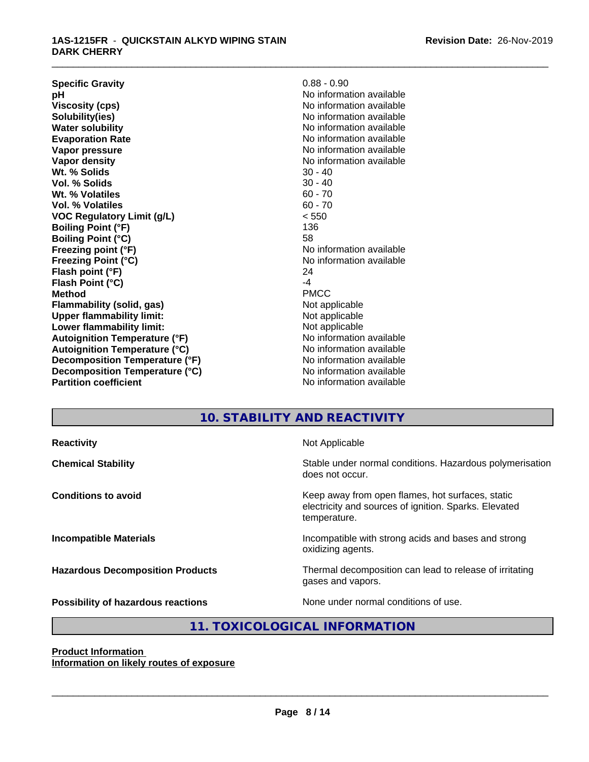| <b>Specific Gravity</b>              | $0.88 - 0.90$            |
|--------------------------------------|--------------------------|
| рH                                   | No information available |
| <b>Viscosity (cps)</b>               | No information available |
| Solubility(ies)                      | No information available |
| <b>Water solubility</b>              | No information available |
| <b>Evaporation Rate</b>              | No information available |
| Vapor pressure                       | No information available |
| Vapor density                        | No information available |
| Wt. % Solids                         | $30 - 40$                |
| Vol. % Solids                        | $30 - 40$                |
| Wt. % Volatiles                      | $60 - 70$                |
| Vol. % Volatiles                     | $60 - 70$                |
| <b>VOC Regulatory Limit (g/L)</b>    | < 550                    |
| <b>Boiling Point (°F)</b>            | 136                      |
| <b>Boiling Point (°C)</b>            | 58                       |
| Freezing point (°F)                  | No information available |
| <b>Freezing Point (°C)</b>           | No information available |
| Flash point (°F)                     | 24                       |
| Flash Point (°C)                     | -4                       |
| <b>Method</b>                        | <b>PMCC</b>              |
| Flammability (solid, gas)            | Not applicable           |
| <b>Upper flammability limit:</b>     | Not applicable           |
| Lower flammability limit:            | Not applicable           |
| <b>Autoignition Temperature (°F)</b> | No information available |
| <b>Autoignition Temperature (°C)</b> | No information available |
| Decomposition Temperature (°F)       | No information available |
| Decomposition Temperature (°C)       | No information available |
| <b>Partition coefficient</b>         | No information available |
|                                      |                          |

## **10. STABILITY AND REACTIVITY**

\_\_\_\_\_\_\_\_\_\_\_\_\_\_\_\_\_\_\_\_\_\_\_\_\_\_\_\_\_\_\_\_\_\_\_\_\_\_\_\_\_\_\_\_\_\_\_\_\_\_\_\_\_\_\_\_\_\_\_\_\_\_\_\_\_\_\_\_\_\_\_\_\_\_\_\_\_\_\_\_\_\_\_\_\_\_\_\_\_\_\_\_\_

**Reactivity Not Applicable Chemical Stability Stability** Stable under normal conditions. Hazardous polymerisation does not occur. **Conditions to avoid Keep away from open flames, hot surfaces, static conditions to avoid** electricity and sources of ignition. Sparks. Elevated temperature. **Incompatible Materials Incompatible with strong acids and bases and strong** oxidizing agents. **Hazardous Decomposition Products** Thermal decomposition can lead to release of irritating gases and vapors. **Possibility of hazardous reactions** None under normal conditions of use.

# **Product Information**

 $\overline{\phantom{a}}$  ,  $\overline{\phantom{a}}$  ,  $\overline{\phantom{a}}$  ,  $\overline{\phantom{a}}$  ,  $\overline{\phantom{a}}$  ,  $\overline{\phantom{a}}$  ,  $\overline{\phantom{a}}$  ,  $\overline{\phantom{a}}$  ,  $\overline{\phantom{a}}$  ,  $\overline{\phantom{a}}$  ,  $\overline{\phantom{a}}$  ,  $\overline{\phantom{a}}$  ,  $\overline{\phantom{a}}$  ,  $\overline{\phantom{a}}$  ,  $\overline{\phantom{a}}$  ,  $\overline{\phantom{a}}$ 

**11. TOXICOLOGICAL INFORMATION**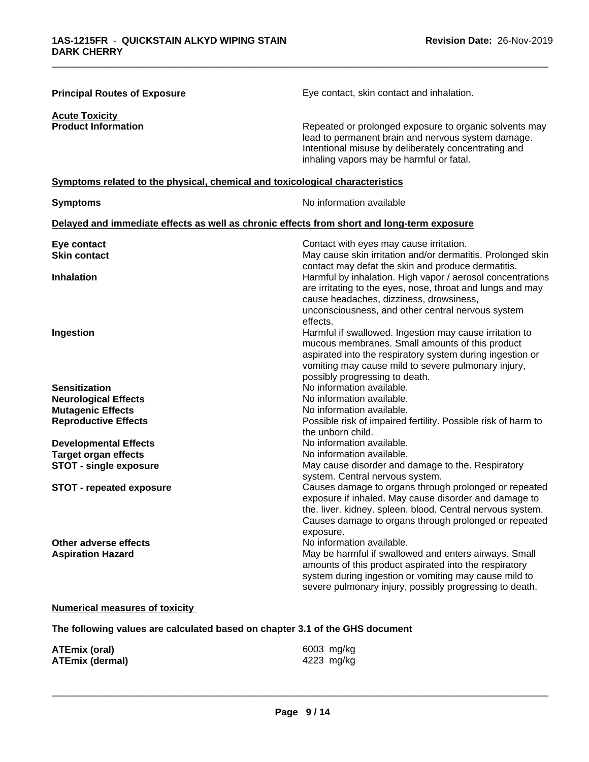| <b>Principal Routes of Exposure</b>                                                        | Eye contact, skin contact and inhalation.                                                                                                                                                                                                                                    |
|--------------------------------------------------------------------------------------------|------------------------------------------------------------------------------------------------------------------------------------------------------------------------------------------------------------------------------------------------------------------------------|
| <b>Acute Toxicity</b><br><b>Product Information</b>                                        | Repeated or prolonged exposure to organic solvents may<br>lead to permanent brain and nervous system damage.<br>Intentional misuse by deliberately concentrating and<br>inhaling vapors may be harmful or fatal.                                                             |
| Symptoms related to the physical, chemical and toxicological characteristics               |                                                                                                                                                                                                                                                                              |
| <b>Symptoms</b>                                                                            | No information available                                                                                                                                                                                                                                                     |
| Delayed and immediate effects as well as chronic effects from short and long-term exposure |                                                                                                                                                                                                                                                                              |
| Eye contact<br><b>Skin contact</b>                                                         | Contact with eyes may cause irritation.<br>May cause skin irritation and/or dermatitis. Prolonged skin<br>contact may defat the skin and produce dermatitis.                                                                                                                 |
| <b>Inhalation</b>                                                                          | Harmful by inhalation. High vapor / aerosol concentrations<br>are irritating to the eyes, nose, throat and lungs and may<br>cause headaches, dizziness, drowsiness,<br>unconsciousness, and other central nervous system                                                     |
| Ingestion                                                                                  | effects.<br>Harmful if swallowed. Ingestion may cause irritation to<br>mucous membranes. Small amounts of this product<br>aspirated into the respiratory system during ingestion or<br>vomiting may cause mild to severe pulmonary injury,<br>possibly progressing to death. |
| <b>Sensitization</b>                                                                       | No information available.                                                                                                                                                                                                                                                    |
| <b>Neurological Effects</b>                                                                | No information available.                                                                                                                                                                                                                                                    |
| <b>Mutagenic Effects</b>                                                                   | No information available.                                                                                                                                                                                                                                                    |
| <b>Reproductive Effects</b>                                                                | Possible risk of impaired fertility. Possible risk of harm to<br>the unborn child.                                                                                                                                                                                           |
| <b>Developmental Effects</b>                                                               | No information available.                                                                                                                                                                                                                                                    |
| <b>Target organ effects</b>                                                                | No information available.                                                                                                                                                                                                                                                    |
| <b>STOT - single exposure</b>                                                              | May cause disorder and damage to the. Respiratory<br>system. Central nervous system.                                                                                                                                                                                         |
| <b>STOT - repeated exposure</b>                                                            | Causes damage to organs through prolonged or repeated<br>exposure if inhaled. May cause disorder and damage to<br>the. liver. kidney. spleen. blood. Central nervous system.<br>Causes damage to organs through prolonged or repeated<br>exposure.                           |
| Other adverse effects<br><b>Aspiration Hazard</b>                                          | No information available.<br>May be harmful if swallowed and enters airways. Small<br>amounts of this product aspirated into the respiratory<br>system during ingestion or vomiting may cause mild to<br>severe pulmonary injury, possibly progressing to death.             |

# **Numerical measures of toxicity**

**The following values are calculated based on chapter 3.1 of the GHS document**

| <b>ATEmix (oral)</b>   | 6003 mg/kg |
|------------------------|------------|
| <b>ATEmix (dermal)</b> | 4223 mg/kg |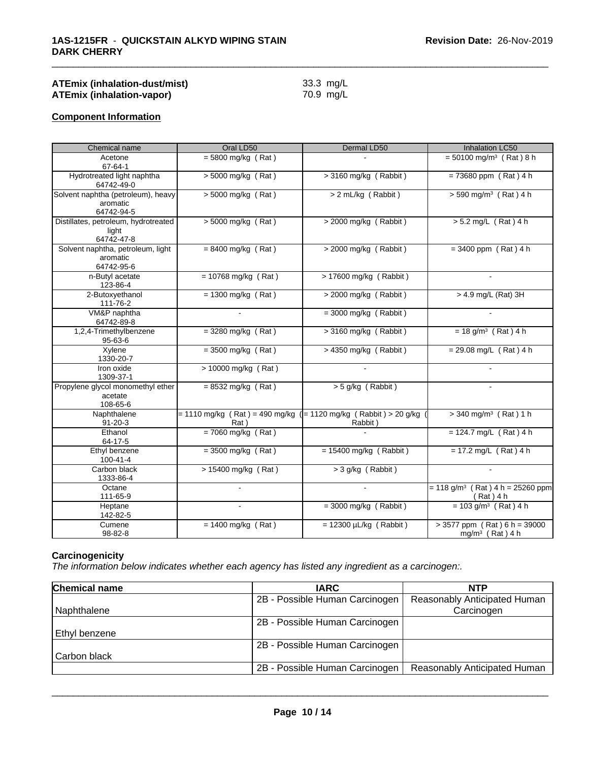| <b>ATEmix (inhalation-dust/mist)</b> | 33.3 mg/L |
|--------------------------------------|-----------|
| ATEmix (inhalation-vapor)            | 70.9 mg/L |

# **Component Information**

| Chemical name                                                | Oral LD50                                                                    | Dermal LD50                 | Inhalation LC50                                               |
|--------------------------------------------------------------|------------------------------------------------------------------------------|-----------------------------|---------------------------------------------------------------|
| Acetone<br>67-64-1                                           | $= 5800$ mg/kg (Rat)                                                         |                             | $= 50100$ mg/m <sup>3</sup> (Rat) 8 h                         |
| Hydrotreated light naphtha<br>64742-49-0                     | $> 5000$ mg/kg (Rat)                                                         | $>$ 3160 mg/kg (Rabbit)     | $= 73680$ ppm (Rat) 4 h                                       |
| Solvent naphtha (petroleum), heavy<br>aromatic<br>64742-94-5 | $> 5000$ mg/kg (Rat)                                                         | > 2 mL/kg (Rabbit)          | $> 590$ mg/m <sup>3</sup> (Rat) 4 h                           |
| Distillates, petroleum, hydrotreated<br>light<br>64742-47-8  | $> 5000$ mg/kg (Rat)                                                         | > 2000 mg/kg (Rabbit)       | $> 5.2$ mg/L (Rat) 4 h                                        |
| Solvent naphtha, petroleum, light<br>aromatic<br>64742-95-6  | $= 8400$ mg/kg (Rat)                                                         | $>$ 2000 mg/kg (Rabbit)     | $= 3400$ ppm (Rat) 4 h                                        |
| n-Butyl acetate<br>123-86-4                                  | $= 10768$ mg/kg (Rat)                                                        | > 17600 mg/kg (Rabbit)      |                                                               |
| 2-Butoxyethanol<br>111-76-2                                  | $= 1300$ mg/kg (Rat)                                                         | > 2000 mg/kg (Rabbit)       | > 4.9 mg/L (Rat) 3H                                           |
| VM&P naphtha<br>64742-89-8                                   |                                                                              | $=$ 3000 mg/kg (Rabbit)     |                                                               |
| 1,2,4-Trimethylbenzene<br>$95 - 63 - 6$                      | $=$ 3280 mg/kg (Rat)                                                         | > 3160 mg/kg (Rabbit)       | $= 18$ g/m <sup>3</sup> (Rat) 4 h                             |
| Xylene<br>1330-20-7                                          | $= 3500$ mg/kg (Rat)                                                         | > 4350 mg/kg (Rabbit)       | $= 29.08$ mg/L (Rat) 4 h                                      |
| Iron oxide<br>1309-37-1                                      | $> 10000$ mg/kg (Rat)                                                        |                             |                                                               |
| Propylene glycol monomethyl ether<br>acetate<br>108-65-6     | $= 8532$ mg/kg (Rat)                                                         | > 5 g/kg (Rabbit)           |                                                               |
| Naphthalene<br>$91 - 20 - 3$                                 | $= 1110$ mg/kg (Rat) = 490 mg/kg ( $= 1120$ mg/kg (Rabbit) > 20 g/kg<br>Rat) | Rabbit)                     | $>$ 340 mg/m <sup>3</sup> (Rat) 1 h                           |
| Ethanol<br>64-17-5                                           | $= 7060$ mg/kg (Rat)                                                         |                             | $= 124.7$ mg/L (Rat) 4 h                                      |
| Ethyl benzene<br>100-41-4                                    | $=$ 3500 mg/kg (Rat)                                                         | $= 15400$ mg/kg (Rabbit)    | $= 17.2$ mg/L (Rat) 4 h                                       |
| Carbon black<br>1333-86-4                                    | $> 15400$ mg/kg (Rat)                                                        | $>$ 3 g/kg (Rabbit)         |                                                               |
| Octane<br>111-65-9                                           |                                                                              |                             | $= 118$ g/m <sup>3</sup> (Rat) 4 h = 25260 ppm<br>$(Rat)$ 4 h |
| Heptane<br>142-82-5                                          |                                                                              | $=$ 3000 mg/kg (Rabbit)     | $= 103$ g/m <sup>3</sup> (Rat) 4 h                            |
| Cumene<br>98-82-8                                            | $= 1400$ mg/kg (Rat)                                                         | $= 12300 \mu L/kg$ (Rabbit) | $>$ 3577 ppm (Rat) 6 h = 39000<br>$mg/m^3$ (Rat) 4 h          |

\_\_\_\_\_\_\_\_\_\_\_\_\_\_\_\_\_\_\_\_\_\_\_\_\_\_\_\_\_\_\_\_\_\_\_\_\_\_\_\_\_\_\_\_\_\_\_\_\_\_\_\_\_\_\_\_\_\_\_\_\_\_\_\_\_\_\_\_\_\_\_\_\_\_\_\_\_\_\_\_\_\_\_\_\_\_\_\_\_\_\_\_\_

#### **Carcinogenicity**

*The information below indicateswhether each agency has listed any ingredient as a carcinogen:.*

| <b>Chemical name</b> | <b>IARC</b>                    | <b>NTP</b>                   |
|----------------------|--------------------------------|------------------------------|
|                      | 2B - Possible Human Carcinogen | Reasonably Anticipated Human |
| Naphthalene          |                                | Carcinogen                   |
|                      | 2B - Possible Human Carcinogen |                              |
| l Ethvl benzene      |                                |                              |
|                      | 2B - Possible Human Carcinogen |                              |
| Carbon black         |                                |                              |
|                      | 2B - Possible Human Carcinogen | Reasonably Anticipated Human |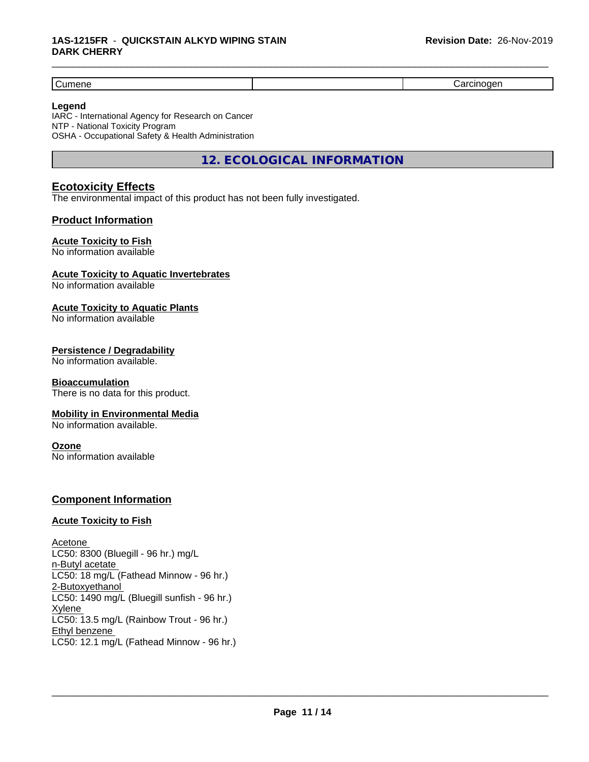Cumene **Cumence Cument Construction Construction** (Cument Carcinogen Carcinogen in the Carcinogen of the Carcinogen

#### **Legend**

IARC - International Agency for Research on Cancer NTP - National Toxicity Program OSHA - Occupational Safety & Health Administration

**12. ECOLOGICAL INFORMATION**

\_\_\_\_\_\_\_\_\_\_\_\_\_\_\_\_\_\_\_\_\_\_\_\_\_\_\_\_\_\_\_\_\_\_\_\_\_\_\_\_\_\_\_\_\_\_\_\_\_\_\_\_\_\_\_\_\_\_\_\_\_\_\_\_\_\_\_\_\_\_\_\_\_\_\_\_\_\_\_\_\_\_\_\_\_\_\_\_\_\_\_\_\_

# **Ecotoxicity Effects**

The environmental impact of this product has not been fully investigated.

### **Product Information**

#### **Acute Toxicity to Fish**

No information available

#### **Acute Toxicity to Aquatic Invertebrates**

No information available

#### **Acute Toxicity to Aquatic Plants**

No information available

#### **Persistence / Degradability**

No information available.

#### **Bioaccumulation**

There is no data for this product.

#### **Mobility in Environmental Media**

No information available.

#### **Ozone**

No information available

#### **Component Information**

#### **Acute Toxicity to Fish**

Acetone LC50: 8300 (Bluegill - 96 hr.) mg/L n-Butyl acetate LC50: 18 mg/L (Fathead Minnow - 96 hr.) 2-Butoxyethanol LC50: 1490 mg/L (Bluegill sunfish - 96 hr.) Xylene LC50: 13.5 mg/L (Rainbow Trout - 96 hr.) Ethyl benzene LC50: 12.1 mg/L (Fathead Minnow - 96 hr.)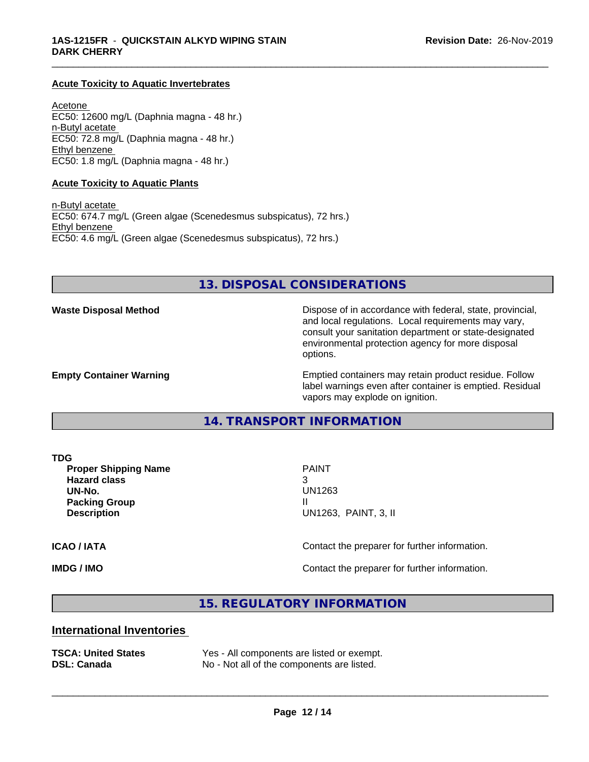#### **Acute Toxicity to Aquatic Invertebrates**

Acetone EC50: 12600 mg/L (Daphnia magna - 48 hr.) n-Butyl acetate EC50: 72.8 mg/L (Daphnia magna - 48 hr.) Ethyl benzene EC50: 1.8 mg/L (Daphnia magna - 48 hr.)

#### **Acute Toxicity to Aquatic Plants**

n-Butyl acetate EC50: 674.7 mg/L (Green algae (Scenedesmus subspicatus), 72 hrs.) Ethyl benzene EC50: 4.6 mg/L (Green algae (Scenedesmus subspicatus), 72 hrs.)

**13. DISPOSAL CONSIDERATIONS**

\_\_\_\_\_\_\_\_\_\_\_\_\_\_\_\_\_\_\_\_\_\_\_\_\_\_\_\_\_\_\_\_\_\_\_\_\_\_\_\_\_\_\_\_\_\_\_\_\_\_\_\_\_\_\_\_\_\_\_\_\_\_\_\_\_\_\_\_\_\_\_\_\_\_\_\_\_\_\_\_\_\_\_\_\_\_\_\_\_\_\_\_\_

**Waste Disposal Method Dispose of in accordance with federal, state, provincial,** and local regulations. Local requirements may vary, consult your sanitation department or state-designated environmental protection agency for more disposal options.

**Empty Container Warning <b>Emptied** Containers may retain product residue. Follow label warnings even after container is emptied. Residual vapors may explode on ignition.

#### **14. TRANSPORT INFORMATION**

**Proper Shipping Name** PAINT **Hazard class** 3 **UN-No.** UN1263 **Packing Group II Description** UN1263, PAINT, 3, II

 $\overline{\phantom{a}}$  ,  $\overline{\phantom{a}}$  ,  $\overline{\phantom{a}}$  ,  $\overline{\phantom{a}}$  ,  $\overline{\phantom{a}}$  ,  $\overline{\phantom{a}}$  ,  $\overline{\phantom{a}}$  ,  $\overline{\phantom{a}}$  ,  $\overline{\phantom{a}}$  ,  $\overline{\phantom{a}}$  ,  $\overline{\phantom{a}}$  ,  $\overline{\phantom{a}}$  ,  $\overline{\phantom{a}}$  ,  $\overline{\phantom{a}}$  ,  $\overline{\phantom{a}}$  ,  $\overline{\phantom{a}}$ 

**ICAO / IATA** Contact the preparer for further information.

**IMDG / IMO IMO Contact the preparer for further information.** 

**15. REGULATORY INFORMATION**

#### **International Inventories**

|                    |  | TSCA: United States |
|--------------------|--|---------------------|
| <b>DSL: Canada</b> |  |                     |

Yes - All components are listed or exempt. No - Not all of the components are listed.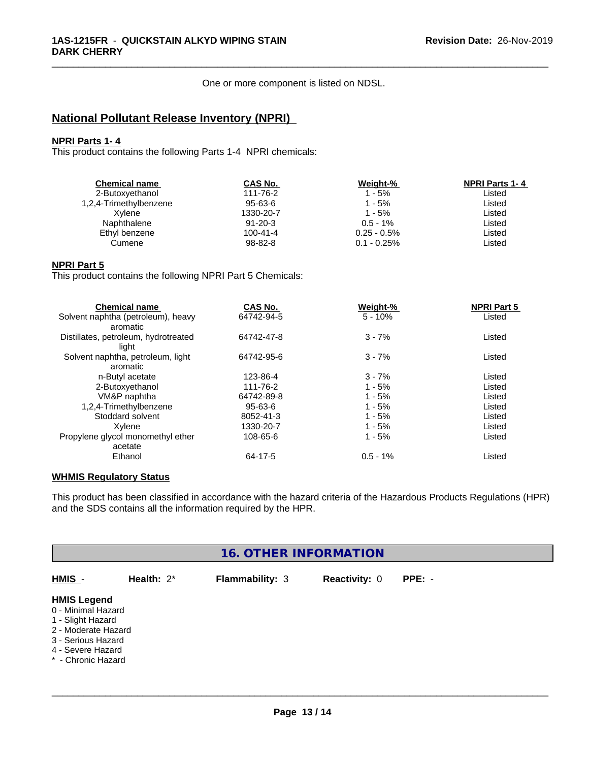One or more component is listed on NDSL.

\_\_\_\_\_\_\_\_\_\_\_\_\_\_\_\_\_\_\_\_\_\_\_\_\_\_\_\_\_\_\_\_\_\_\_\_\_\_\_\_\_\_\_\_\_\_\_\_\_\_\_\_\_\_\_\_\_\_\_\_\_\_\_\_\_\_\_\_\_\_\_\_\_\_\_\_\_\_\_\_\_\_\_\_\_\_\_\_\_\_\_\_\_

# **National Pollutant Release Inventory (NPRI)**

#### **NPRI Parts 1- 4**

This product contains the following Parts 1-4 NPRI chemicals:

| <b>Chemical name</b>   | CAS No.        | Weight-%       | <b>NPRI Parts 1-4</b> |
|------------------------|----------------|----------------|-----------------------|
| 2-Butoxyethanol        | 111-76-2       | 1 - 5%         | Listed                |
| 1,2,4-Trimethylbenzene | $95 - 63 - 6$  | 1 - 5%         | Listed                |
| Xylene                 | 1330-20-7      | 1 - 5%         | Listed                |
| Naphthalene            | $91 - 20 - 3$  | $0.5 - 1\%$    | Listed                |
| Ethyl benzene          | $100 - 41 - 4$ | $0.25 - 0.5\%$ | Listed                |
| Cumene                 | $98 - 82 - 8$  | $0.1 - 0.25\%$ | Listed                |
|                        |                |                |                       |

#### **NPRI Part 5**

This product contains the following NPRI Part 5 Chemicals:

| <b>Chemical name</b>                 | CAS No.    | Weight-%   | <b>NPRI Part 5</b> |  |
|--------------------------------------|------------|------------|--------------------|--|
| Solvent naphtha (petroleum), heavy   | 64742-94-5 | $5 - 10%$  | Listed             |  |
| aromatic                             |            |            |                    |  |
| Distillates, petroleum, hydrotreated | 64742-47-8 | $3 - 7%$   | Listed             |  |
| light                                |            |            |                    |  |
| Solvent naphtha, petroleum, light    | 64742-95-6 | $3 - 7%$   | Listed             |  |
| aromatic                             |            |            |                    |  |
| n-Butyl acetate                      | 123-86-4   | $3 - 7%$   | Listed             |  |
| 2-Butoxyethanol                      | 111-76-2   | $1 - 5%$   | Listed             |  |
| VM&P naphtha                         | 64742-89-8 | $1 - 5%$   | Listed             |  |
| 1,2,4-Trimethylbenzene               | 95-63-6    | $1 - 5%$   | Listed             |  |
| Stoddard solvent                     | 8052-41-3  | $1 - 5%$   | Listed             |  |
| Xvlene                               | 1330-20-7  | $1 - 5%$   | Listed             |  |
| Propylene glycol monomethyl ether    | 108-65-6   | $1 - 5%$   | Listed             |  |
| acetate                              |            |            |                    |  |
| Ethanol                              | 64-17-5    | $0.5 - 1%$ | Listed             |  |

## **WHMIS Regulatory Status**

This product has been classified in accordance with the hazard criteria of the Hazardous Products Regulations (HPR) and the SDS contains all the information required by the HPR.

| <b>16. OTHER INFORMATION</b>                                                                                                                          |               |                        |                      |          |  |
|-------------------------------------------------------------------------------------------------------------------------------------------------------|---------------|------------------------|----------------------|----------|--|
| HMIS -                                                                                                                                                | Health: $2^*$ | <b>Flammability: 3</b> | <b>Reactivity: 0</b> | $PPE: -$ |  |
| <b>HMIS Legend</b><br>0 - Minimal Hazard<br>1 - Slight Hazard<br>2 - Moderate Hazard<br>3 - Serious Hazard<br>4 - Severe Hazard<br>* - Chronic Hazard |               |                        |                      |          |  |